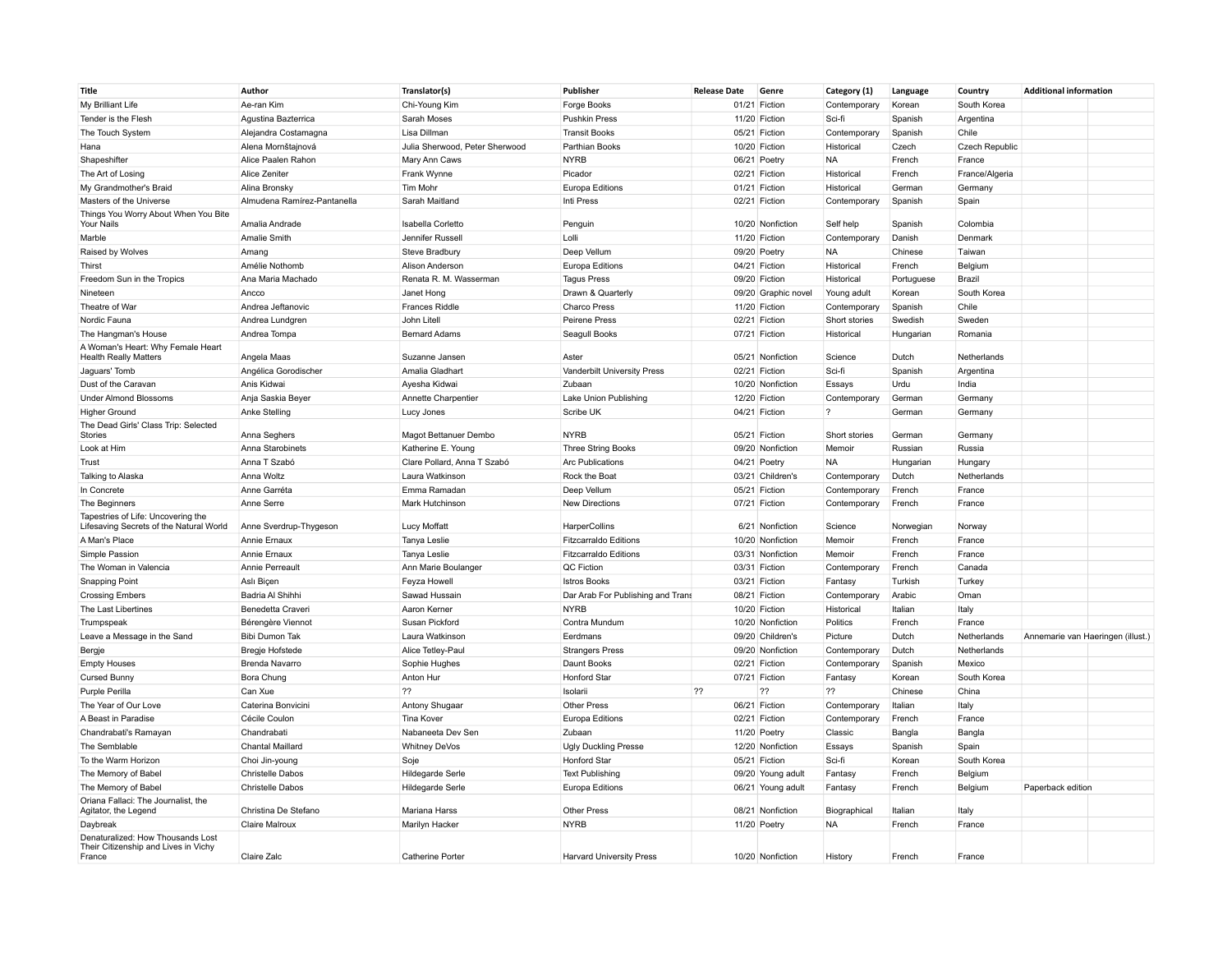| Title                                                                     | Author                      | Translator(s)                  | Publisher                         | <b>Release Date</b> | Genre               | Category (1)   | Language   | Country        | <b>Additional information</b>     |  |
|---------------------------------------------------------------------------|-----------------------------|--------------------------------|-----------------------------------|---------------------|---------------------|----------------|------------|----------------|-----------------------------------|--|
| My Brilliant Life                                                         | Ae-ran Kim                  | Chi-Young Kim                  | Forge Books                       |                     | 01/21 Fiction       | Contemporary   | Korean     | South Korea    |                                   |  |
| Tender is the Flesh                                                       | Agustina Bazterrica         | Sarah Moses                    | <b>Pushkin Press</b>              |                     | 11/20 Fiction       | Sci-fi         | Spanish    | Argentina      |                                   |  |
| The Touch System                                                          | Alejandra Costamagna        | Lisa Dillman                   | <b>Transit Books</b>              |                     | 05/21 Fiction       | Contemporary   | Spanish    | Chile          |                                   |  |
| Hana                                                                      | Alena Mornštajnová          | Julia Sherwood, Peter Sherwood | Parthian Books                    |                     | 10/20 Fiction       | Historical     | Czech      | Czech Republic |                                   |  |
| Shapeshifter                                                              | Alice Paalen Rahon          | Mary Ann Caws                  | <b>NYRB</b>                       |                     | 06/21 Poetry        | <b>NA</b>      | French     | France         |                                   |  |
| The Art of Losing                                                         | Alice Zeniter               | Frank Wynne                    | Picador                           |                     | 02/21 Fiction       | Historical     | French     | France/Algeria |                                   |  |
| My Grandmother's Braid                                                    | Alina Bronsky               | Tim Mohr                       | Europa Editions                   |                     | 01/21 Fiction       | Historical     | German     | Germany        |                                   |  |
| Masters of the Universe                                                   | Almudena Ramírez-Pantanella | Sarah Maitland                 | Inti Press                        |                     | 02/21 Fiction       | Contemporary   | Spanish    | Spain          |                                   |  |
| Things You Worry About When You Bite<br>Your Nails                        | Amalia Andrade              | Isabella Corletto              | Penguin                           |                     | 10/20 Nonfiction    | Self help      | Spanish    | Colombia       |                                   |  |
| Marble                                                                    | Amalie Smith                | Jennifer Russell               | Lolli                             |                     | 11/20 Fiction       | Contemporary   | Danish     | Denmark        |                                   |  |
| Raised by Wolves                                                          | Amang                       | Steve Bradbury                 | Deep Vellum                       |                     | 09/20 Poetry        | NA             | Chinese    | Taiwan         |                                   |  |
| Thirst                                                                    | Amélie Nothomb              | Alison Anderson                | Europa Editions                   |                     | 04/21 Fiction       | Historical     | French     | Belgium        |                                   |  |
| Freedom Sun in the Tropics                                                | Ana Maria Machado           | Renata R. M. Wasserman         | <b>Tagus Press</b>                |                     | 09/20 Fiction       | Historical     | Portuguese | Brazil         |                                   |  |
| Nineteen                                                                  | Ancco                       | Janet Hong                     | Drawn & Quarterly                 |                     | 09/20 Graphic novel | Young adult    | Korean     | South Korea    |                                   |  |
| Theatre of War                                                            | Andrea Jeftanovic           | <b>Frances Riddle</b>          | <b>Charco Press</b>               |                     | 11/20 Fiction       | Contemporary   | Spanish    | Chile          |                                   |  |
| Nordic Fauna                                                              | Andrea Lundgren             | John Litell                    | Peirene Press                     |                     | 02/21 Fiction       | Short stories  | Swedish    | Sweden         |                                   |  |
| The Hangman's House                                                       | Andrea Tompa                | <b>Bernard Adams</b>           | Seagull Books                     |                     | 07/21 Fiction       | Historical     | Hungarian  | Romania        |                                   |  |
| A Woman's Heart: Why Female Heart                                         |                             |                                |                                   |                     |                     |                |            |                |                                   |  |
| <b>Health Really Matters</b>                                              | Angela Maas                 | Suzanne Jansen                 | Aster                             |                     | 05/21 Nonfiction    | Science        | Dutch      | Netherlands    |                                   |  |
| Jaguars' Tomb                                                             | Angélica Gorodischer        | Amalia Gladhart                | Vanderbilt University Press       |                     | 02/21 Fiction       | Sci-fi         | Spanish    | Argentina      |                                   |  |
| Dust of the Caravan                                                       | Anis Kidwai                 | Ayesha Kidwai                  | Zubaan                            |                     | 10/20 Nonfiction    | Essays         | Urdu       | India          |                                   |  |
| <b>Under Almond Blossoms</b>                                              | Anja Saskia Beyer           | Annette Charpentier            | Lake Union Publishing             |                     | 12/20 Fiction       | Contemporary   | German     | Germany        |                                   |  |
| <b>Higher Ground</b>                                                      | Anke Stelling               | Lucy Jones                     | Scribe UK                         |                     | 04/21 Fiction       | $\overline{?}$ | German     | Germany        |                                   |  |
| The Dead Girls' Class Trip: Selected<br><b>Stories</b>                    | Anna Seghers                | Magot Bettanuer Dembo          | <b>NYRB</b>                       |                     | 05/21 Fiction       | Short stories  | German     | Germany        |                                   |  |
| Look at Him                                                               | Anna Starobinets            | Katherine E. Young             | <b>Three String Books</b>         |                     | 09/20 Nonfiction    | Memoir         | Russian    | Russia         |                                   |  |
| Trust                                                                     | Anna T Szabó                | Clare Pollard, Anna T Szabó    | <b>Arc Publications</b>           |                     | 04/21 Poetry        | <b>NA</b>      | Hungarian  | Hungary        |                                   |  |
| Talking to Alaska                                                         | Anna Woltz                  | Laura Watkinson                | Rock the Boat                     |                     | 03/21 Children's    | Contemporary   | Dutch      | Netherlands    |                                   |  |
| In Concrete                                                               | Anne Garréta                | Emma Ramadan                   | Deep Vellum                       |                     | 05/21 Fiction       | Contemporary   | French     | France         |                                   |  |
| The Beginners                                                             | Anne Serre                  | Mark Hutchinson                | <b>New Directions</b>             |                     | 07/21 Fiction       | Contemporary   | French     | France         |                                   |  |
| Tapestries of Life: Uncovering the                                        |                             |                                |                                   |                     |                     |                |            |                |                                   |  |
| Lifesaving Secrets of the Natural World                                   | Anne Sverdrup-Thygeson      | Lucy Moffatt                   | HarperCollins                     |                     | 6/21 Nonfiction     | Science        | Norwegian  | Norway         |                                   |  |
| A Man's Place                                                             | Annie Ernaux                | Tanya Leslie                   | <b>Fitzcarraldo Editions</b>      |                     | 10/20 Nonfiction    | Memoir         | French     | France         |                                   |  |
| Simple Passion                                                            | Annie Ernaux                | Tanya Leslie                   | <b>Fitzcarraldo Editions</b>      |                     | 03/31 Nonfiction    | Memoir         | French     | France         |                                   |  |
| The Woman in Valencia                                                     | Annie Perreault             | Ann Marie Boulanger            | QC Fiction                        |                     | 03/31 Fiction       | Contemporary   | French     | Canada         |                                   |  |
| Snapping Point                                                            | Aslı Bicen                  | Feyza Howell                   | <b>Istros Books</b>               |                     | 03/21 Fiction       | Fantasy        | Turkish    | Turkey         |                                   |  |
| <b>Crossing Embers</b>                                                    | Badria Al Shihhi            | Sawad Hussain                  | Dar Arab For Publishing and Trans |                     | 08/21 Fiction       | Contemporary   | Arabic     | Oman           |                                   |  |
| The Last Libertines                                                       | Benedetta Craveri           | Aaron Kerner                   | <b>NYRB</b>                       |                     | 10/20 Fiction       | Historical     | Italian    | Italy          |                                   |  |
| Trumpspeak                                                                | Bérengère Viennot           | Susan Pickford                 | Contra Mundum                     |                     | 10/20 Nonfiction    | Politics       | French     | France         |                                   |  |
| Leave a Message in the Sand                                               | <b>Bibi Dumon Tak</b>       | Laura Watkinson                | Eerdmans                          |                     | 09/20 Children's    | Picture        | Dutch      | Netherlands    | Annemarie van Haeringen (illust.) |  |
| Bergje                                                                    | <b>Bregje Hofstede</b>      | Alice Tetley-Paul              | <b>Strangers Press</b>            |                     | 09/20 Nonfiction    | Contemporary   | Dutch      | Netherlands    |                                   |  |
| <b>Empty Houses</b>                                                       | Brenda Navarro              | Sophie Hughes                  | Daunt Books                       |                     | 02/21 Fiction       | Contemporary   | Spanish    | Mexico         |                                   |  |
| Cursed Bunny                                                              | Bora Chung                  | Anton Hur                      | <b>Honford Star</b>               |                     | 07/21 Fiction       | Fantasy        | Korean     | South Korea    |                                   |  |
| Purple Perilla                                                            | Can Xue                     | ??                             | Isolarii                          | 22                  | 22                  | ??             | Chinese    | China          |                                   |  |
| The Year of Our Love                                                      | Caterina Bonvicini          | Antony Shugaar                 | <b>Other Press</b>                |                     | 06/21 Fiction       | Contemporary   | Italian    | Italy          |                                   |  |
| A Beast in Paradise                                                       | Cécile Coulon               | Tina Kover                     | Europa Editions                   |                     | 02/21 Fiction       | Contemporary   | French     | France         |                                   |  |
| Chandrabati's Ramayan                                                     | Chandrabati                 | Nabaneeta Dev Sen              | Zubaan                            |                     | 11/20 Poetry        | Classic        | Bangla     | Bangla         |                                   |  |
| The Semblable                                                             | <b>Chantal Maillard</b>     | <b>Whitney DeVos</b>           | <b>Ugly Duckling Presse</b>       |                     | 12/20 Nonfiction    | Essays         | Spanish    | Spain          |                                   |  |
| To the Warm Horizon                                                       | Choi Jin-young              | Soje                           | <b>Honford Star</b>               |                     | 05/21 Fiction       | Sci-fi         | Korean     | South Korea    |                                   |  |
| The Memory of Babel                                                       | <b>Christelle Dabos</b>     | Hildegarde Serle               | <b>Text Publishing</b>            |                     | 09/20 Young adult   | Fantasy        | French     | Belgium        |                                   |  |
| The Memory of Babel                                                       | <b>Christelle Dabos</b>     | Hildegarde Serle               | Europa Editions                   |                     | 06/21 Young adult   | Fantasy        | French     | Belgium        | Paperback edition                 |  |
| Oriana Fallaci: The Journalist, the<br>Agitator, the Legend               | Christina De Stefano        | Mariana Harss                  | <b>Other Press</b>                |                     | 08/21 Nonfiction    | Biographical   | Italian    | Italy          |                                   |  |
| Daybreak                                                                  | <b>Claire Malroux</b>       | Marilyn Hacker                 | <b>NYRB</b>                       |                     | 11/20 Poetry        | <b>NA</b>      | French     | France         |                                   |  |
| Denaturalized: How Thousands Lost<br>Their Citizenship and Lives in Vichy |                             |                                |                                   |                     |                     |                |            |                |                                   |  |
| France                                                                    | Claire Zalc                 | Catherine Porter               | <b>Harvard University Press</b>   |                     | 10/20 Nonfiction    | History        | French     | France         |                                   |  |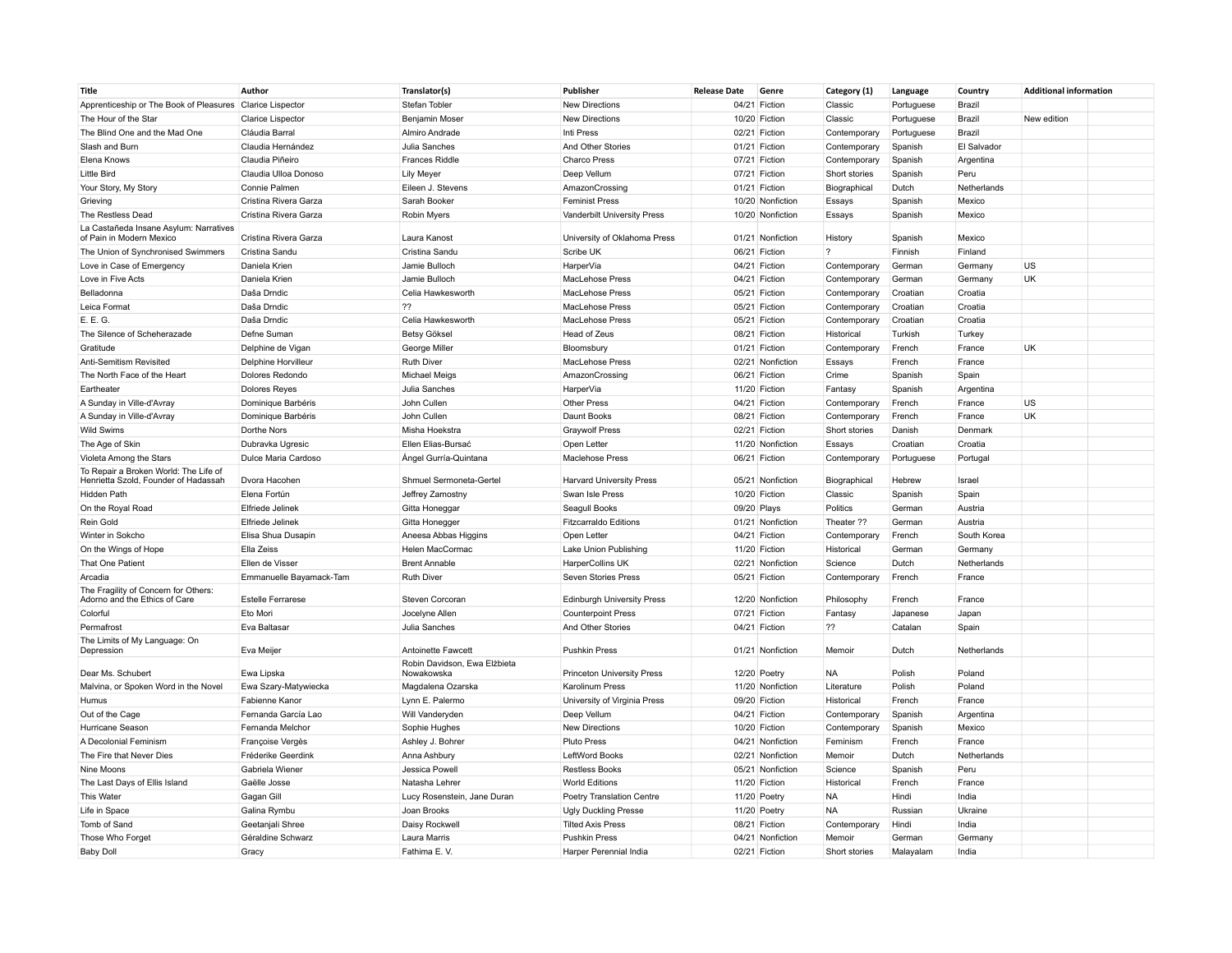| <b>Title</b>                                                          | Author                   | Translator(s)                | Publisher                         | <b>Release Date</b> | Genre            | Category (1)             | Language   | Country     | <b>Additional information</b> |  |
|-----------------------------------------------------------------------|--------------------------|------------------------------|-----------------------------------|---------------------|------------------|--------------------------|------------|-------------|-------------------------------|--|
| Apprenticeship or The Book of Pleasures                               | <b>Clarice Lispector</b> | Stefan Tobler                | New Directions                    |                     | 04/21 Fiction    | Classic                  | Portuguese | Brazil      |                               |  |
| The Hour of the Star                                                  | Clarice Lispector        | <b>Benjamin Moser</b>        | New Directions                    |                     | 10/20 Fiction    | Classic                  | Portuguese | Brazil      | New edition                   |  |
| The Blind One and the Mad One                                         | Cláudia Barral           | Almiro Andrade               | Inti Press                        |                     | 02/21 Fiction    | Contemporary             | Portuguese | Brazil      |                               |  |
| Slash and Burn                                                        | Claudia Hernández        | Julia Sanches                | And Other Stories                 |                     | 01/21 Fiction    | Contemporary             | Spanish    | El Salvador |                               |  |
| Elena Knows                                                           | Claudia Piñeiro          | <b>Frances Riddle</b>        | Charco Press                      |                     | 07/21 Fiction    | Contemporary             | Spanish    | Argentina   |                               |  |
| Little Bird                                                           | Claudia Ulloa Donoso     | <b>Lily Meyer</b>            | Deep Vellum                       |                     | 07/21 Fiction    | Short stories            | Spanish    | Peru        |                               |  |
| Your Story, My Story                                                  | Connie Palmen            | Eileen J. Stevens            | AmazonCrossing                    |                     | 01/21 Fiction    | Biographical             | Dutch      | Netherlands |                               |  |
| Grieving                                                              | Cristina Rivera Garza    | Sarah Booker                 | <b>Feminist Press</b>             |                     | 10/20 Nonfiction | Essays                   | Spanish    | Mexico      |                               |  |
| The Restless Dead                                                     | Cristina Rivera Garza    | Robin Myers                  | Vanderbilt University Press       |                     | 10/20 Nonfiction | Essays                   | Spanish    | Mexico      |                               |  |
| La Castañeda Insane Asylum: Narratives<br>of Pain in Modern Mexico    | Cristina Rivera Garza    | Laura Kanost                 | University of Oklahoma Press      |                     | 01/21 Nonfiction | History                  | Spanish    | Mexico      |                               |  |
| The Union of Synchronised Swimmers                                    | Cristina Sandu           | Cristina Sandu               | Scribe UK                         |                     | 06/21 Fiction    | $\overline{\phantom{a}}$ | Finnish    | Finland     |                               |  |
| Love in Case of Emergency                                             | Daniela Krien            | Jamie Bulloch                | HarperVia                         |                     | 04/21 Fiction    | Contemporary             | German     | Germany     | US                            |  |
| Love in Five Acts                                                     | Daniela Krien            | Jamie Bulloch                | MacLehose Press                   |                     | 04/21 Fiction    | Contemporary             | German     | Germany     | UK                            |  |
| Belladonna                                                            | Daša Drndic              | Celia Hawkesworth            | MacLehose Press                   |                     | 05/21 Fiction    | Contemporary             | Croatian   | Croatia     |                               |  |
| Leica Format                                                          | Daša Drndic              | ??                           | MacLehose Press                   |                     | 05/21 Fiction    | Contemporary             | Croatian   | Croatia     |                               |  |
| E. E. G.                                                              | Daša Drndic              | Celia Hawkesworth            | MacLehose Press                   |                     | 05/21 Fiction    | Contemporary             | Croatian   | Croatia     |                               |  |
| The Silence of Scheherazade                                           | Defne Suman              | Betsy Göksel                 | Head of Zeus                      |                     | 08/21 Fiction    | Historical               | Turkish    | Turkey      |                               |  |
| Gratitude                                                             | Delphine de Vigan        | George Miller                | Bloomsbury                        |                     | 01/21 Fiction    | Contemporary             | French     | France      | UK                            |  |
| Anti-Semitism Revisited                                               | Delphine Horvilleur      | Ruth Diver                   | MacLehose Press                   |                     | 02/21 Nonfiction | Essays                   | French     | France      |                               |  |
| The North Face of the Heart                                           | Dolores Redondo          | <b>Michael Meigs</b>         | AmazonCrossing                    |                     | 06/21 Fiction    | Crime                    | Spanish    | Spain       |                               |  |
| Eartheater                                                            | <b>Dolores Reyes</b>     | Julia Sanches                | HarperVia                         |                     | 11/20 Fiction    | Fantasy                  | Spanish    | Argentina   |                               |  |
| A Sunday in Ville-d'Avray                                             | Dominique Barbéris       | John Cullen                  | Other Press                       |                     | 04/21 Fiction    | Contemporary             | French     | France      | US                            |  |
| A Sunday in Ville-d'Avray                                             | Dominique Barbéris       | John Cullen                  | Daunt Books                       |                     | 08/21 Fiction    | Contemporary             | French     | France      | UK                            |  |
| Wild Swims                                                            | Dorthe Nors              | Misha Hoekstra               | <b>Graywolf Press</b>             |                     | 02/21 Fiction    | Short stories            | Danish     | Denmark     |                               |  |
| The Age of Skin                                                       | Dubravka Ugresic         | Ellen Elias-Bursać           | Open Letter                       |                     | 11/20 Nonfiction | Essays                   | Croatian   | Croatia     |                               |  |
| Violeta Among the Stars                                               | Dulce Maria Cardoso      | Ángel Gurría-Quintana        | Maclehose Press                   |                     | 06/21 Fiction    | Contemporary             | Portuguese | Portugal    |                               |  |
| To Repair a Broken World: The Life of                                 |                          |                              |                                   |                     |                  |                          |            |             |                               |  |
| Henrietta Szold, Founder of Hadassah                                  | Dvora Hacohen            | Shmuel Sermoneta-Gertel      | <b>Harvard University Press</b>   |                     | 05/21 Nonfiction | Biographical             | Hebrew     | Israel      |                               |  |
| Hidden Path                                                           | Elena Fortún             | Jeffrey Zamostny             | Swan Isle Press                   |                     | 10/20 Fiction    | Classic                  | Spanish    | Spain       |                               |  |
| On the Royal Road                                                     | Elfriede Jelinek         | Gitta Honeggar               | Seagull Books                     |                     | 09/20 Plays      | Politics                 | German     | Austria     |                               |  |
| Rein Gold                                                             | Elfriede Jelinek         | Gitta Honegger               | <b>Fitzcarraldo Editions</b>      |                     | 01/21 Nonfiction | Theater ??               | German     | Austria     |                               |  |
| Winter in Sokcho                                                      | Elisa Shua Dusapin       | Aneesa Abbas Higgins         | Open Letter                       |                     | 04/21 Fiction    | Contemporary             | French     | South Korea |                               |  |
| On the Wings of Hope                                                  | Ella Zeiss               | Helen MacCormac              | Lake Union Publishing             |                     | 11/20 Fiction    | Historical               | German     | Germany     |                               |  |
| That One Patient                                                      | Ellen de Visser          | <b>Brent Annable</b>         | HarperCollins UK                  |                     | 02/21 Nonfiction | Science                  | Dutch      | Netherlands |                               |  |
| Arcadia                                                               | Emmanuelle Bayamack-Tam  | <b>Ruth Diver</b>            | Seven Stories Press               |                     | 05/21 Fiction    | Contemporary             | French     | France      |                               |  |
| The Fragility of Concern for Others:<br>Adorno and the Ethics of Care | <b>Estelle Ferrarese</b> | Steven Corcoran              | <b>Edinburgh University Press</b> |                     | 12/20 Nonfiction | Philosophy               | French     | France      |                               |  |
| Colorful                                                              | Eto Mori                 | Jocelyne Allen               | <b>Counterpoint Press</b>         |                     | 07/21 Fiction    | Fantasy                  | Japanese   | Japan       |                               |  |
| Permafrost                                                            | Eva Baltasar             | Julia Sanches                | And Other Stories                 |                     | 04/21 Fiction    | ??                       | Catalan    | Spain       |                               |  |
| The Limits of My Language: On<br>Depression                           | Eva Meijer               | Antoinette Fawcett           | <b>Pushkin Press</b>              |                     | 01/21 Nonfiction | Memoir                   | Dutch      | Netherlands |                               |  |
|                                                                       |                          | Robin Davidson, Ewa Elżbieta |                                   |                     |                  |                          |            |             |                               |  |
| Dear Ms. Schubert                                                     | Ewa Lipska               | Nowakowska                   | Princeton University Press        |                     | 12/20 Poetry     | NA                       | Polish     | Poland      |                               |  |
| Malvina, or Spoken Word in the Novel                                  | Ewa Szary-Matywiecka     | Magdalena Ozarska            | Karolinum Press                   |                     | 11/20 Nonfiction | Literature               | Polish     | Poland      |                               |  |
| Humus                                                                 | Fabienne Kanor           | Lynn E. Palermo              | University of Virginia Press      |                     | 09/20 Fiction    | Historical               | French     | France      |                               |  |
| Out of the Cage                                                       | Fernanda García Lao      | Will Vanderyden              | Deep Vellum                       |                     | 04/21 Fiction    | Contemporary             | Spanish    | Argentina   |                               |  |
| Hurricane Season                                                      | Fernanda Melchor         | Sophie Hughes                | <b>New Directions</b>             |                     | 10/20 Fiction    | Contemporary             | Spanish    | Mexico      |                               |  |
| A Decolonial Feminism                                                 | Françoise Vergès         | Ashley J. Bohrer             | Pluto Press                       |                     | 04/21 Nonfiction | Feminism                 | French     | France      |                               |  |
| The Fire that Never Dies                                              | Fréderike Geerdink       | Anna Ashbury                 | LeftWord Books                    |                     | 02/21 Nonfiction | Memoir                   | Dutch      | Netherlands |                               |  |
| Nine Moons                                                            | Gabriela Wiener          | Jessica Powell               | <b>Restless Books</b>             |                     | 05/21 Nonfiction | Science                  | Spanish    | Peru        |                               |  |
| The Last Days of Ellis Island                                         | Gaëlle Josse             | Natasha Lehrer               | <b>World Editions</b>             |                     | 11/20 Fiction    | Historical               | French     | France      |                               |  |
| This Water                                                            | Gagan Gill               | Lucy Rosenstein, Jane Duran  | Poetry Translation Centre         |                     | 11/20 Poetry     | <b>NA</b>                | Hindi      | India       |                               |  |
| Life in Space                                                         | Galina Rymbu             | Joan Brooks                  | <b>Ugly Duckling Presse</b>       |                     | 11/20 Poetry     | <b>NA</b>                | Russian    | Ukraine     |                               |  |
| Tomb of Sand                                                          | Geetanjali Shree         | Daisy Rockwell               | <b>Tilted Axis Press</b>          |                     | 08/21 Fiction    | Contemporary             | Hindi      | India       |                               |  |
| Those Who Forget                                                      | Géraldine Schwarz        | Laura Marris                 | <b>Pushkin Press</b>              |                     | 04/21 Nonfiction | Memoir                   | German     | Germany     |                               |  |
| <b>Baby Doll</b>                                                      | Gracy                    | Fathima E.V.                 | Harper Perennial India            |                     | 02/21 Fiction    | Short stories            | Malayalam  | India       |                               |  |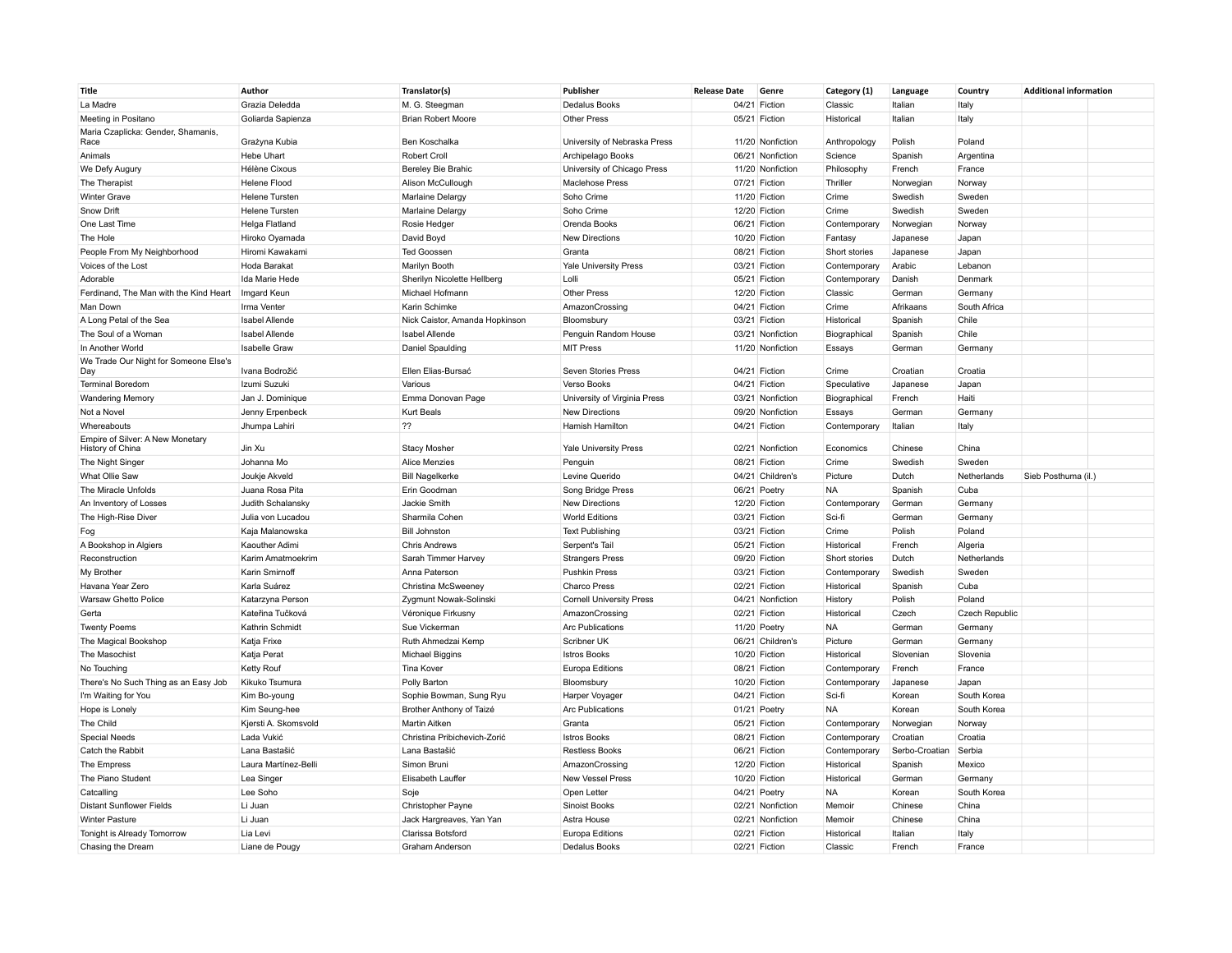| <b>Title</b>                                         | Author                | Translator(s)                  | Publisher                       | <b>Release Date</b> | Genre            | Category (1)  | Language       | Country               | <b>Additional information</b> |  |
|------------------------------------------------------|-----------------------|--------------------------------|---------------------------------|---------------------|------------------|---------------|----------------|-----------------------|-------------------------------|--|
| La Madre                                             | Grazia Deledda        | M. G. Steegman                 | Dedalus Books                   |                     | 04/21 Fiction    | Classic       | Italian        | Italy                 |                               |  |
| Meeting in Positano                                  | Goliarda Sapienza     | <b>Brian Robert Moore</b>      | Other Press                     |                     | 05/21 Fiction    | Historical    | Italian        | Italy                 |                               |  |
| Maria Czaplicka: Gender, Shamanis,<br>Race           | Grażyna Kubia         | Ben Koschalka                  | University of Nebraska Press    |                     | 11/20 Nonfiction | Anthropology  | Polish         | Poland                |                               |  |
| Animals                                              | Hebe Uhart            | Robert Croll                   | Archipelago Books               |                     | 06/21 Nonfiction | Science       | Spanish        | Argentina             |                               |  |
| We Defy Augury                                       | Hélène Cixous         | Bereley Bie Brahic             | University of Chicago Press     |                     | 11/20 Nonfiction | Philosophy    | French         | France                |                               |  |
| The Therapist                                        | <b>Helene Flood</b>   | Alison McCullough              | Maclehose Press                 |                     | 07/21 Fiction    | Thriller      | Norwegian      | Norway                |                               |  |
| Winter Grave                                         | <b>Helene Tursten</b> | Marlaine Delargy               | Soho Crime                      |                     | 11/20 Fiction    | Crime         | Swedish        | Sweden                |                               |  |
| <b>Snow Drift</b>                                    | <b>Helene Tursten</b> | Marlaine Delargy               | Soho Crime                      |                     | 12/20 Fiction    | Crime         | Swedish        | Sweden                |                               |  |
| One Last Time                                        | Helga Flatland        | Rosie Hedger                   | Orenda Books                    |                     | 06/21 Fiction    | Contemporary  | Norwegian      | Norway                |                               |  |
| The Hole                                             | Hiroko Oyamada        | David Boyd                     | New Directions                  |                     | 10/20 Fiction    | Fantasy       | Japanese       | Japan                 |                               |  |
| People From My Neighborhood                          | Hiromi Kawakam        | <b>Ted Goossen</b>             | Granta                          |                     | 08/21 Fiction    | Short stories | Japanese       | Japan                 |                               |  |
| Voices of the Lost                                   | Hoda Barakat          | Marilyn Booth                  | Yale University Press           |                     | 03/21 Fiction    | Contemporary  | Arabic         | Lebanon               |                               |  |
| Adorable                                             | Ida Marie Hede        | Sherilyn Nicolette Hellberg    | Lolli                           |                     | 05/21 Fiction    | Contemporary  | Danish         | Denmark               |                               |  |
| Ferdinand, The Man with the Kind Heart               | Imgard Keun           | Michael Hofmann                | Other Press                     |                     | 12/20 Fiction    | Classic       | German         | Germany               |                               |  |
| Man Down                                             | Irma Venter           | Karin Schimke                  | AmazonCrossing                  |                     | 04/21 Fiction    | Crime         | Afrikaans      | South Africa          |                               |  |
| A Long Petal of the Sea                              | <b>Isabel Allende</b> | Nick Caistor, Amanda Hopkinson | Bloomsbury                      |                     | 03/21 Fiction    | Historical    | Spanish        | Chile                 |                               |  |
| The Soul of a Woman                                  | <b>Isabel Allende</b> | Isabel Allende                 | Penguin Random House            |                     | 03/21 Nonfiction | Biographical  | Spanish        | Chile                 |                               |  |
| In Another World                                     | <b>Isabelle Graw</b>  | Daniel Spaulding               | <b>MIT Press</b>                |                     | 11/20 Nonfiction | Essays        | German         | Germany               |                               |  |
| We Trade Our Night for Someone Else's<br>Day         | Ivana Bodrožić        | Ellen Elias-Bursać             | Seven Stories Press             |                     | 04/21 Fiction    | Crime         | Croatian       | Croatia               |                               |  |
| <b>Terminal Boredom</b>                              | Izumi Suzuki          | Various                        | Verso Books                     |                     | 04/21 Fiction    | Speculative   | Japanese       | Japan                 |                               |  |
| <b>Wandering Memory</b>                              | Jan J. Dominique      | Emma Donovan Page              | University of Virginia Press    |                     | 03/21 Nonfiction | Biographical  | French         | Haiti                 |                               |  |
| Not a Novel                                          | Jenny Erpenbeck       | Kurt Beals                     | <b>New Directions</b>           |                     | 09/20 Nonfiction | Essays        | German         | Germany               |                               |  |
| Whereabouts                                          | Jhumpa Lahiri         | ??                             | Hamish Hamilton                 |                     | 04/21 Fiction    | Contemporary  | Italian        | Italy                 |                               |  |
| Empire of Silver: A New Monetary<br>History of China | Jin Xu                | Stacy Mosher                   | <b>Yale University Press</b>    |                     | 02/21 Nonfiction | Economics     | Chinese        | China                 |                               |  |
| The Night Singer                                     | Johanna Mo            | Alice Menzies                  | Penguin                         |                     | 08/21 Fiction    | Crime         | Swedish        | Sweden                |                               |  |
| What Ollie Saw                                       | Joukje Akveld         | <b>Bill Nagelkerke</b>         | Levine Querido                  |                     | 04/21 Children's | Picture       | Dutch          | Netherlands           | Sieb Posthuma (il.)           |  |
| The Miracle Unfolds                                  | Juana Rosa Pita       | Erin Goodman                   | Song Bridge Press               |                     | 06/21 Poetry     | <b>NA</b>     | Spanish        | Cuba                  |                               |  |
| An Inventory of Losses                               | Judith Schalansky     | Jackie Smith                   | <b>New Directions</b>           |                     | 12/20 Fiction    | Contemporary  | German         | Germany               |                               |  |
| The High-Rise Diver                                  | Julia von Lucadou     | Sharmila Cohen                 | <b>World Editions</b>           |                     | 03/21 Fiction    | Sci-fi        | German         | Germany               |                               |  |
| Fog                                                  | Kaja Malanowska       | <b>Bill Johnston</b>           | <b>Text Publishing</b>          |                     | 03/21 Fiction    | Crime         | Polish         | Poland                |                               |  |
| A Bookshop in Algiers                                | Kaouther Adimi        | Chris Andrews                  | Serpent's Tail                  |                     | 05/21 Fiction    | Historical    | French         | Algeria               |                               |  |
| Reconstruction                                       | Karim Amatmoekrim     | Sarah Timmer Harvey            | <b>Strangers Press</b>          |                     | 09/20 Fiction    | Short stories | Dutch          | Netherlands           |                               |  |
| My Brother                                           | Karin Smirnoff        | Anna Paterson                  | <b>Pushkin Press</b>            |                     | 03/21 Fiction    | Contemporary  | Swedish        | Sweden                |                               |  |
| Havana Year Zero                                     | Karla Suárez          | Christina McSweeney            | Charco Press                    |                     | 02/21 Fiction    | Historical    | Spanish        | Cuba                  |                               |  |
| Warsaw Ghetto Police                                 | Katarzyna Person      | Zygmunt Nowak-Solinski         | <b>Cornell University Press</b> |                     | 04/21 Nonfiction | History       | Polish         | Poland                |                               |  |
| Gerta                                                | Kateřina Tučková      | Véronique Firkusny             | AmazonCrossing                  |                     | 02/21 Fiction    | Historical    | Czech          | <b>Czech Republic</b> |                               |  |
| <b>Twenty Poems</b>                                  | Kathrin Schmidt       | Sue Vickerman                  | <b>Arc Publications</b>         |                     | 11/20 Poetry     | <b>NA</b>     | German         | Germany               |                               |  |
| The Magical Bookshop                                 | Katja Frixe           | Ruth Ahmedzai Kemp             | Scribner UK                     |                     | 06/21 Children's | Picture       | German         | Germany               |                               |  |
| The Masochist                                        | Katja Perat           | Michael Biggins                | <b>Istros Books</b>             |                     | 10/20 Fiction    | Historical    | Slovenian      | Slovenia              |                               |  |
| No Touching                                          | <b>Ketty Rouf</b>     | Tina Kover                     | Europa Editions                 |                     | 08/21 Fiction    | Contemporary  | French         | France                |                               |  |
| There's No Such Thing as an Easy Job                 | Kikuko Tsumura        | Polly Barton                   | Bloomsbury                      |                     | 10/20 Fiction    | Contemporary  | Japanese       | Japan                 |                               |  |
| I'm Waiting for You                                  | Kim Bo-young          | Sophie Bowman, Sung Ryu        | Harper Voyager                  |                     | 04/21 Fiction    | Sci-fi        | Korean         | South Korea           |                               |  |
| Hope is Lonely                                       | Kim Seung-hee         | Brother Anthony of Taizé       | <b>Arc Publications</b>         |                     | 01/21 Poetry     | <b>NA</b>     | Korean         | South Korea           |                               |  |
| The Child                                            | Kjersti A. Skomsvold  | Martin Aitken                  | Granta                          |                     | 05/21 Fiction    | Contemporary  | Norwegian      | Norway                |                               |  |
| <b>Special Needs</b>                                 | Lada Vukić            | Christina Pribichevich-Zorić   | <b>Istros Books</b>             |                     | 08/21 Fiction    | Contemporary  | Croatian       | Croatia               |                               |  |
| Catch the Rabbit                                     | Lana Bastašić         | Lana Bastašić                  | <b>Restless Books</b>           |                     | 06/21 Fiction    | Contemporary  | Serbo-Croatian | Serbia                |                               |  |
| The Empress                                          | Laura Martínez-Belli  | Simon Bruni                    | AmazonCrossing                  |                     | 12/20 Fiction    | Historical    | Spanish        | Mexico                |                               |  |
| The Piano Student                                    | Lea Singer            | Elisabeth Lauffer              | New Vessel Press                |                     | 10/20 Fiction    | Historical    | German         | Germany               |                               |  |
| Catcalling                                           | Lee Soho              | Soje                           | Open Letter                     |                     | 04/21 Poetry     | <b>NA</b>     | Korean         | South Korea           |                               |  |
| <b>Distant Sunflower Fields</b>                      | Li Juan               | Christopher Payne              | Sinoist Books                   |                     | 02/21 Nonfiction | Memoir        | Chinese        | China                 |                               |  |
| <b>Winter Pasture</b>                                | Li Juan               | Jack Hargreaves, Yan Yan       | Astra House                     |                     | 02/21 Nonfiction | Memoir        | Chinese        | China                 |                               |  |
| Tonight is Already Tomorrow                          | Lia Levi              | Clarissa Botsford              | Europa Editions                 |                     | 02/21 Fiction    | Historical    | Italian        | Italy                 |                               |  |
| Chasing the Dream                                    | Liane de Pougy        | Graham Anderson                | Dedalus Books                   |                     | 02/21 Fiction    | Classic       | French         | France                |                               |  |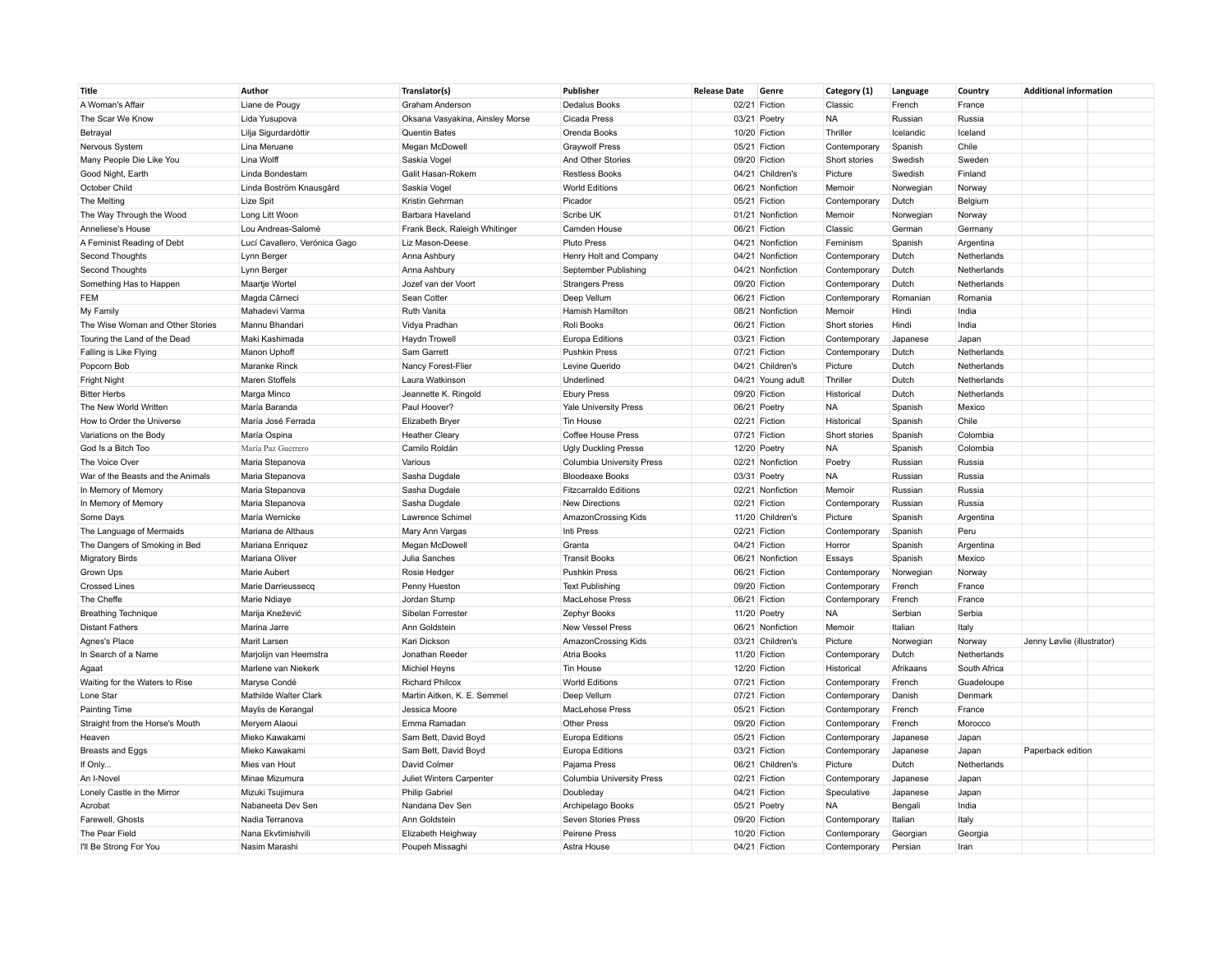| Title                             | Author                        | Translator(s)                   | Publisher                                | <b>Release Date</b> | Genre                         | Category (1)  | Language           | Country      | <b>Additional information</b> |  |
|-----------------------------------|-------------------------------|---------------------------------|------------------------------------------|---------------------|-------------------------------|---------------|--------------------|--------------|-------------------------------|--|
| A Woman's Affair                  | Liane de Pougy                | Graham Anderson                 | Dedalus Books                            |                     | 02/21 Fiction                 | Classic       | French             | France       |                               |  |
| The Scar We Know                  | Lida Yusupova                 | Oksana Vasyakina, Ainsley Morse | Cicada Press                             |                     | 03/21 Poetry                  | <b>NA</b>     | Russian            | Russia       |                               |  |
| Betrayal                          | Lilja Sigurdardóttir          | Quentin Bates                   | Orenda Books                             |                     | 10/20 Fiction                 | Thriller      | Icelandic          | Iceland      |                               |  |
| Nervous System                    | Lina Meruane                  | Megan McDowell                  | Graywolf Press                           |                     | 05/21 Fiction                 | Contemporary  | Spanish            | Chile        |                               |  |
| Many People Die Like You          | Lina Wolff                    | Saskia Vogel                    | And Other Stories                        |                     | 09/20 Fiction                 | Short stories | Swedish            | Sweden       |                               |  |
| Good Night, Earth                 | Linda Bondestam               | Galit Hasan-Rokem               | <b>Restless Books</b>                    |                     | 04/21 Children's              | Picture       | Swedish            | Finland      |                               |  |
| October Child                     | Linda Boström Knausgård       | Saskia Vogel                    | <b>World Editions</b>                    |                     | 06/21 Nonfiction              | Memoir        | Norwegian          | Norway       |                               |  |
| The Melting                       | <b>Lize Spit</b>              | Kristin Gehrman                 | Picador                                  |                     | 05/21 Fiction                 | Contemporary  | Dutch              | Belgium      |                               |  |
| The Way Through the Wood          | Long Litt Woon                | Barbara Haveland                | Scribe UK                                |                     | 01/21 Nonfiction              | Memoir        | Norwegian          | Norway       |                               |  |
| Anneliese's House                 | Lou Andreas-Salomé            | Frank Beck, Raleigh Whitinger   | Camden House                             |                     | 06/21 Fiction                 | Classic       | German             | Germany      |                               |  |
| A Feminist Reading of Debt        | Lucí Cavallero, Verónica Gago | Liz Mason-Deese                 | <b>Pluto Press</b>                       |                     | 04/21 Nonfiction              | Feminism      | Spanish            | Argentina    |                               |  |
| Second Thoughts                   | Lynn Berger                   | Anna Ashbury                    | Henry Holt and Company                   |                     | 04/21 Nonfiction              | Contemporary  | Dutch              | Netherlands  |                               |  |
| Second Thoughts                   | Lynn Berger                   | Anna Ashbury                    | September Publishing                     |                     | 04/21 Nonfiction              | Contemporary  | Dutch              | Netherlands  |                               |  |
| Something Has to Happen           | Maartje Wortel                | Jozef van der Voort             | <b>Strangers Press</b>                   |                     | 09/20 Fiction                 | Contemporary  | Dutch              | Netherlands  |                               |  |
| <b>FEM</b>                        | Magda Cârneci                 | Sean Cotter                     | Deep Vellum                              |                     | 06/21 Fiction                 | Contemporary  | Romanian           | Romania      |                               |  |
| My Family                         | Mahadevi Varma                | Ruth Vanita                     | Hamish Hamilton                          |                     | 08/21 Nonfiction              | Memoir        | Hindi              | India        |                               |  |
| The Wise Woman and Other Stories  | Mannu Bhandari                | Vidya Pradhan                   | Roli Books                               |                     | 06/21 Fiction                 | Short stories | Hindi              | India        |                               |  |
| Touring the Land of the Dead      | Maki Kashimada                | Haydn Trowell                   | Europa Editions                          |                     | 03/21 Fiction                 | Contemporary  | Japanese           | Japan        |                               |  |
| Falling is Like Flying            | Manon Uphoff                  | Sam Garrett                     | <b>Pushkin Press</b>                     |                     | 07/21 Fiction                 | Contemporary  | Dutch              | Netherlands  |                               |  |
| Popcorn Bob                       | Maranke Rinck                 | Nancy Forest-Flier              | Levine Querido                           |                     | 04/21 Children's              | Picture       | Dutch              | Netherlands  |                               |  |
| Fright Night                      | Maren Stoffels                | Laura Watkinson                 | Underlined                               |                     | 04/21 Young adult             | Thriller      | Dutch              | Netherlands  |                               |  |
| <b>Bitter Herbs</b>               | Marga Minco                   | Jeannette K. Ringold            | <b>Ebury Press</b>                       |                     | 09/20 Fiction                 | Historical    | Dutch              | Netherlands  |                               |  |
| The New World Written             | María Baranda                 | Paul Hoover?                    | <b>Yale University Press</b>             |                     | 06/21 Poetry                  | <b>NA</b>     | Spanish            | Mexico       |                               |  |
| How to Order the Universe         | María José Ferrada            | Elizabeth Bryer                 | Tin House                                |                     | 02/21 Fiction                 | Historical    | Spanish            | Chile        |                               |  |
| Variations on the Body            | María Ospina                  | <b>Heather Cleary</b>           | Coffee House Press                       |                     | 07/21 Fiction                 | Short stories | Spanish            | Colombia     |                               |  |
| God Is a Bitch Too                | María Paz Guerrero            | Camilo Roldán                   | <b>Ugly Duckling Presse</b>              |                     | 12/20 Poetry                  | <b>NA</b>     | Spanish            | Colombia     |                               |  |
| The Voice Over                    | Maria Stepanova               | Various                         | <b>Columbia University Press</b>         |                     | 02/21 Nonfiction              | Poetry        | Russian            | Russia       |                               |  |
| War of the Beasts and the Animals | Maria Stepanova               | Sasha Dugdale                   | <b>Bloodeaxe Books</b>                   |                     | 03/31 Poetry                  | <b>NA</b>     | Russian            | Russia       |                               |  |
| In Memory of Memory               | Maria Stepanova               | Sasha Dugdale                   | <b>Fitzcarraldo Editions</b>             |                     | 02/21 Nonfiction              | Memoir        | Russian            | Russia       |                               |  |
| In Memory of Memory               | Maria Stepanova               | Sasha Dugdale                   | <b>New Directions</b>                    |                     | 02/21 Fiction                 | Contemporary  | Russian            | Russia       |                               |  |
| Some Days                         | María Wernicke                | Lawrence Schimel                | AmazonCrossing Kids                      |                     | 11/20 Children's              | Picture       | Spanish            | Argentina    |                               |  |
| The Language of Mermaids          | Mariana de Althaus            | Mary Ann Vargas                 | Inti Press                               |                     | 02/21 Fiction                 | Contemporary  | Spanish            | Peru         |                               |  |
| The Dangers of Smoking in Bed     | Mariana Enriquez              | Megan McDowell                  | Granta                                   |                     | 04/21 Fiction                 | Horror        | Spanish            | Argentina    |                               |  |
| <b>Migratory Birds</b>            | Mariana Oliver                | Julia Sanches                   | <b>Transit Books</b>                     |                     | 06/21 Nonfiction              | Essays        | Spanish            | Mexico       |                               |  |
| Grown Ups                         | Marie Aubert                  | Rosie Hedger                    | Pushkin Press                            |                     | 06/21 Fiction                 | Contemporary  | Norwegian          | Norway       |                               |  |
| <b>Crossed Lines</b>              | Marie Darrieussecq            | Penny Hueston                   | <b>Text Publishing</b>                   |                     | 09/20 Fiction                 | Contemporary  | French             | France       |                               |  |
| The Cheffe                        | Marie Ndiaye                  | Jordan Stump                    | MacLehose Press                          |                     | 06/21 Fiction                 | Contemporary  | French             | France       |                               |  |
| <b>Breathing Technique</b>        | Marija Knežević               | Sibelan Forrester               | Zephyr Books                             |                     | 11/20 Poetry                  | <b>NA</b>     | Serbian            | Serbia       |                               |  |
| <b>Distant Fathers</b>            | Marina Jarre                  | Ann Goldstein                   | New Vessel Press                         |                     | 06/21 Nonfiction              | Memoir        | Italian            | Italy        |                               |  |
| Agnes's Place                     | Marit Larsen                  | Kari Dickson                    | AmazonCrossing Kids                      |                     | 03/21 Children's              | Picture       | Norwegian          | Norway       | Jenny Løvlie (illustrator)    |  |
| In Search of a Name               | Marjolijn van Heemstra        | Jonathan Reeder                 | Atria Books                              |                     | 11/20 Fiction                 | Contemporary  | Dutch              | Netherlands  |                               |  |
| Agaat                             | Marlene van Niekerk           | Michiel Heyns                   | Tin House                                |                     | 12/20 Fiction                 | Historical    | Afrikaans          | South Africa |                               |  |
| Waiting for the Waters to Rise    | Maryse Condé                  | <b>Richard Philcox</b>          | <b>World Editions</b>                    |                     | 07/21 Fiction                 | Contemporary  | French             | Guadeloupe   |                               |  |
| Lone Star                         | Mathilde Walter Clark         | Martin Aitken, K. E. Semmel     | Deep Vellum                              |                     | 07/21 Fiction                 | Contemporary  | Danish             | Denmark      |                               |  |
| Painting Time                     | Maylis de Kerangal            | Jessica Moore                   | MacLehose Press                          |                     | 05/21 Fiction                 | Contemporary  | French             | France       |                               |  |
| Straight from the Horse's Mouth   | Meryem Alaoui                 | Emma Ramadan                    | <b>Other Press</b>                       |                     | 09/20 Fiction                 | Contemporary  | French             | Morocco      |                               |  |
| Heaven                            | Mieko Kawakami                | Sam Bett, David Boyd            | Europa Editions                          |                     | 05/21 Fiction                 | Contemporary  | Japanese           | Japan        |                               |  |
| Breasts and Eggs                  | Mieko Kawakami                | Sam Bett, David Boyd            | Europa Editions                          |                     | 03/21 Fiction                 | Contemporary  | Japanese           | Japan        | Paperback edition             |  |
| If Only                           | Mies van Hout                 | David Colmer                    | Pajama Press                             |                     | 06/21 Children's              | Picture       | Dutch              | Netherlands  |                               |  |
| An I-Novel                        | Minae Mizumura                | Juliet Winters Carpenter        | Columbia University Press                |                     | 02/21 Fiction                 | Contemporary  | Japanese           | Japan        |                               |  |
| Lonely Castle in the Mirror       | Mizuki Tsujimura              | Philip Gabriel                  | Doubleday                                |                     | 04/21 Fiction                 | Speculative   | Japanese           | Japan        |                               |  |
|                                   | Nabaneeta Dev Sen             | Nandana Dev Sen                 |                                          |                     |                               | <b>NA</b>     |                    | India        |                               |  |
| Acrobat<br>Farewell, Ghosts       | Nadia Terranova               | Ann Goldstein                   | Archipelago Books<br>Seven Stories Press |                     | 05/21 Poetry<br>09/20 Fiction |               | Bengali<br>Italian | Italy        |                               |  |
| The Pear Field                    | Nana Ekvtimishvili            |                                 | <b>Peirene Press</b>                     |                     | 10/20 Fiction                 | Contemporary  |                    |              |                               |  |
|                                   |                               | Elizabeth Heighway              |                                          |                     |                               | Contemporary  | Georgian           | Georgia      |                               |  |
| I'll Be Strong For You            | Nasim Marashi                 | Poupeh Missaghi                 | Astra House                              |                     | 04/21 Fiction                 | Contemporary  | Persian            | Iran         |                               |  |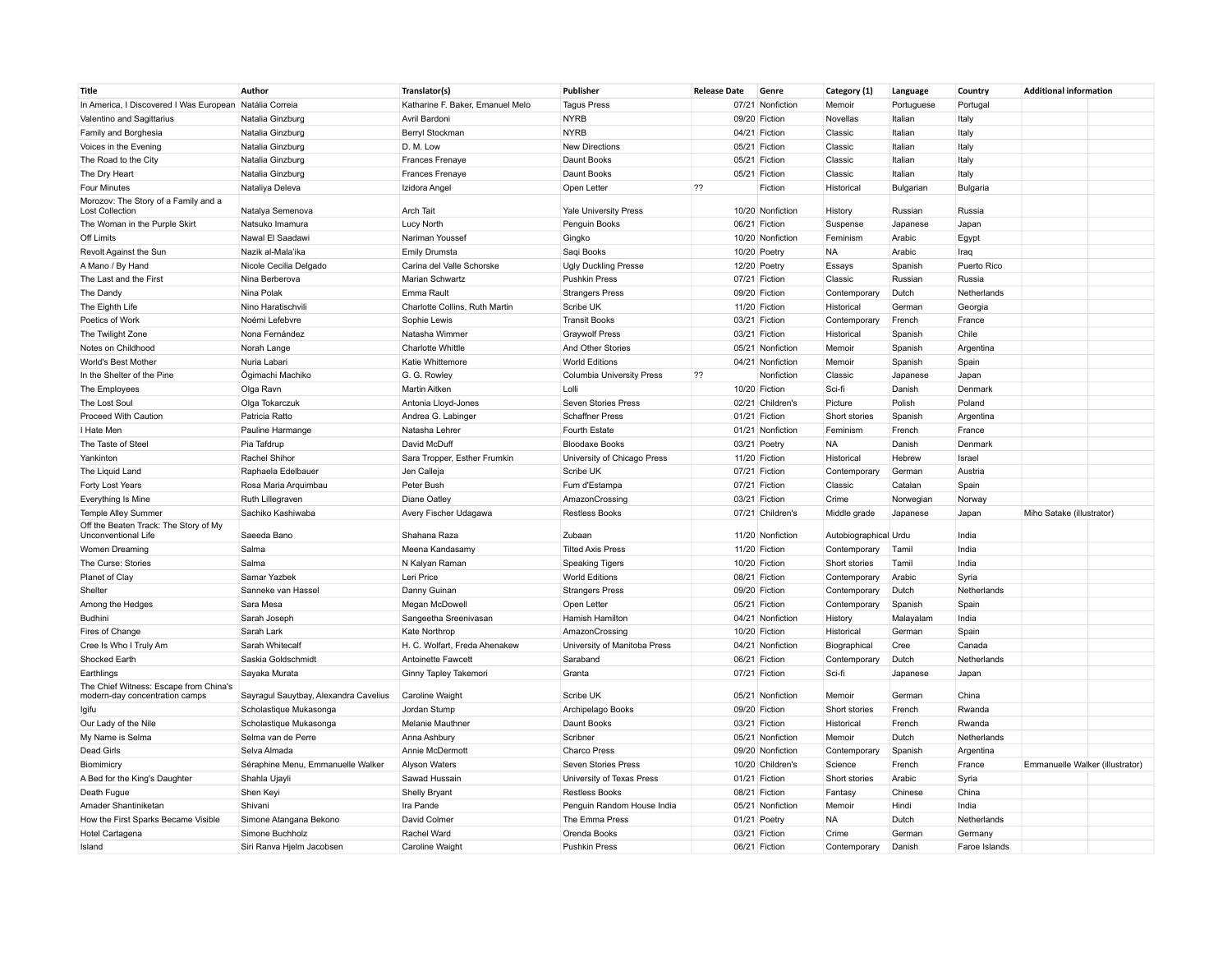| <b>Title</b>                                                             | Author                                | Translator(s)                         | Publisher                               | <b>Release Date</b> | Genre            | Category (1)          | Language              | Country       | <b>Additional information</b>   |  |
|--------------------------------------------------------------------------|---------------------------------------|---------------------------------------|-----------------------------------------|---------------------|------------------|-----------------------|-----------------------|---------------|---------------------------------|--|
| In America, I Discovered I Was European Natália Correia                  |                                       | Katharine F. Baker, Emanuel Melo      | <b>Tagus Press</b>                      |                     | 07/21 Nonfiction | Memoir                | Portuguese            | Portugal      |                                 |  |
| Valentino and Sagittarius                                                | Natalia Ginzburg                      | Avril Bardoni                         | <b>NYRB</b>                             |                     | 09/20 Fiction    | Novellas              | Italian               | Italy         |                                 |  |
| Family and Borghesia                                                     | Natalia Ginzburg                      | Berryl Stockman                       | <b>NYRB</b>                             |                     | 04/21 Fiction    | Classic               | Italian               | Italy         |                                 |  |
| Voices in the Evening                                                    | Natalia Ginzburg                      | D. M. Low                             | <b>New Directions</b>                   |                     | 05/21 Fiction    | Classic               | Italian               | Italy         |                                 |  |
| The Road to the City                                                     | Natalia Ginzburg                      | <b>Frances Frenaye</b>                | Daunt Books                             |                     | 05/21 Fiction    | Classic               | Italian               | Italy         |                                 |  |
| The Dry Heart                                                            | Natalia Ginzburg                      | Frances Frenaye                       | Daunt Books                             |                     | 05/21 Fiction    | Classic               | Italian               | Italy         |                                 |  |
| Four Minutes                                                             | Nataliya Deleva                       | Izidora Angel                         | Open Letter                             | 22                  | Fiction          | Historical            | Bulgarian             | Bulgaria      |                                 |  |
| Morozov: The Story of a Family and a<br><b>Lost Collection</b>           | Natalya Semenova                      | <b>Arch Tait</b>                      | <b>Yale University Press</b>            |                     | 10/20 Nonfiction | History               | Russian               | Russia        |                                 |  |
| The Woman in the Purple Skirt                                            | Natsuko Imamura                       | Lucy North                            | Penguin Books                           |                     | 06/21 Fiction    | Suspense              | Japanese              | Japan         |                                 |  |
| Off Limits                                                               | Nawal El Saadawi                      | Nariman Youssef                       | Gingko                                  |                     | 10/20 Nonfiction | Feminism              | Arabic                | Egypt         |                                 |  |
| Revolt Against the Sun                                                   | Nazik al-Mala'ika                     | <b>Emily Drumsta</b>                  | Saqi Books                              |                     | 10/20 Poetry     | <b>NA</b>             | Arabic                | Iraq          |                                 |  |
| A Mano / By Hand                                                         | Nicole Cecilia Delgado                | Carina del Valle Schorske             | <b>Ugly Duckling Presse</b>             |                     | 12/20 Poetry     | Essays                | Spanish               | Puerto Rico   |                                 |  |
| The Last and the First                                                   | Nina Berberova                        | Marian Schwartz                       | <b>Pushkin Press</b>                    |                     | 07/21 Fiction    | Classic               | Russian               | Russia        |                                 |  |
| The Dandy                                                                | Nina Polak                            | Emma Rault                            | <b>Strangers Press</b>                  |                     | 09/20 Fiction    | Contemporary          | Dutch                 | Netherlands   |                                 |  |
| The Eighth Life                                                          | Nino Haratischvili                    | Charlotte Collins, Ruth Martin        | Scribe UK                               |                     | 11/20 Fiction    | Historical            | German                | Georgia       |                                 |  |
| Poetics of Work                                                          | Noémi Lefebvre                        | Sophie Lewis                          | <b>Transit Books</b>                    |                     | 03/21 Fiction    | Contemporary          | French                | France        |                                 |  |
| The Twilight Zone                                                        | Nona Fernández                        | Natasha Wimmer                        | <b>Graywolf Press</b>                   |                     | 03/21 Fiction    | Historical            | Spanish               | Chile         |                                 |  |
| Notes on Childhood                                                       | Norah Lange                           | Charlotte Whittle                     | And Other Stories                       |                     | 05/21 Nonfiction | Memoir                | Spanish               | Argentina     |                                 |  |
| World's Best Mother                                                      | Nuria Labari                          | Katie Whittemore                      | <b>World Editions</b>                   |                     | 04/21 Nonfiction | Memoir                | Spanish               | Spain         |                                 |  |
| In the Shelter of the Pine                                               | Ögimachi Machiko                      | G. G. Rowley                          | <b>Columbia University Press</b>        | 22                  | Nonfiction       | Classic               | Japanese              | Japan         |                                 |  |
| The Employees                                                            | Olga Ravn                             | Martin Aitken                         | Lolli                                   |                     | 10/20 Fiction    | Sci-fi                | Danish                | Denmark       |                                 |  |
| The Lost Soul                                                            | Olga Tokarczuk                        | Antonia Lloyd-Jones                   | Seven Stories Press                     |                     | 02/21 Children's | Picture               | Polish                | Poland        |                                 |  |
| Proceed With Caution                                                     | Patricia Ratto                        | Andrea G. Labinger                    | <b>Schaffner Press</b>                  |                     | 01/21 Fiction    | Short stories         | Spanish               | Argentina     |                                 |  |
| I Hate Men                                                               | Pauline Harmange                      | Natasha Lehrer                        | Fourth Estate                           |                     | 01/21 Nonfiction | Feminism              | French                | France        |                                 |  |
| The Taste of Steel                                                       | Pia Tafdrup                           | David McDuff                          | <b>Bloodaxe Books</b>                   |                     | 03/21 Poetry     | <b>NA</b>             | Danish                | Denmark       |                                 |  |
| Yankinton                                                                | Rachel Shihor                         | Sara Tropper, Esther Frumkin          | University of Chicago Press             |                     | 11/20 Fiction    | Historical            | Hebrew                | Israel        |                                 |  |
| The Liquid Land                                                          | Raphaela Edelbauer                    | Jen Calleja                           | Scribe UK                               |                     | 07/21 Fiction    | Contemporary          | German                | Austria       |                                 |  |
| Forty Lost Years                                                         | Rosa Maria Arquimbau                  | Peter Bush                            | Fum d'Estampa                           |                     | 07/21 Fiction    | Classic               | Catalan               | Spain         |                                 |  |
|                                                                          | Ruth Lillegraven                      |                                       |                                         |                     | 03/21 Fiction    | Crime                 |                       |               |                                 |  |
| Everything Is Mine<br>Temple Alley Summer                                | Sachiko Kashiwaba                     | Diane Oatley<br>Avery Fischer Udagawa | AmazonCrossing<br><b>Restless Books</b> |                     | 07/21 Children's | Middle grade          | Norwegian<br>Japanese | Norway        | Miho Satake (illustrator)       |  |
| Off the Beaten Track: The Story of My                                    |                                       |                                       |                                         |                     |                  |                       |                       | Japan         |                                 |  |
| Unconventional Life                                                      | Saeeda Bano                           | Shahana Raza                          | Zubaan                                  |                     | 11/20 Nonfiction | Autobiographical Urdu |                       | India         |                                 |  |
| Women Dreaming                                                           | Salma                                 | Meena Kandasamy                       | <b>Tilted Axis Press</b>                |                     | 11/20 Fiction    | Contemporary          | Tamil                 | India         |                                 |  |
| The Curse: Stories                                                       | Salma                                 | N Kalyan Raman                        | <b>Speaking Tigers</b>                  |                     | 10/20 Fiction    | Short stories         | Tamil                 | India         |                                 |  |
| Planet of Clay                                                           | Samar Yazbek                          | Leri Price                            | <b>World Editions</b>                   |                     | 08/21 Fiction    | Contemporary          | Arabic                | Syria         |                                 |  |
| Shelter                                                                  | Sanneke van Hassel                    | Danny Guinan                          | <b>Strangers Press</b>                  |                     | 09/20 Fiction    | Contemporary          | Dutch                 | Netherlands   |                                 |  |
| Among the Hedges                                                         | Sara Mesa                             | Megan McDowell                        | Open Letter                             |                     | 05/21 Fiction    | Contemporary          | Spanish               | Spain         |                                 |  |
| Budhini                                                                  | Sarah Joseph                          | Sangeetha Sreenivasan                 | Hamish Hamilton                         |                     | 04/21 Nonfiction | History               | Malayalam             | India         |                                 |  |
| Fires of Change                                                          | Sarah Lark                            | Kate Northrop                         | AmazonCrossing                          |                     | 10/20 Fiction    | Historical            | German                | Spain         |                                 |  |
| Cree Is Who I Truly Am                                                   | Sarah Whitecalf                       | H. C. Wolfart, Freda Ahenakew         | University of Manitoba Press            |                     | 04/21 Nonfiction | Biographical          | Cree                  | Canada        |                                 |  |
| Shocked Earth                                                            | Saskia Goldschmidt                    | Antoinette Fawcett                    | Saraband                                |                     | 06/21 Fiction    | Contemporary          | Dutch                 | Netherlands   |                                 |  |
| Earthlings                                                               | Sayaka Murata                         | Ginny Tapley Takemori                 | Granta                                  |                     | 07/21 Fiction    | Sci-fi                | Japanese              | Japan         |                                 |  |
| The Chief Witness: Escape from China's<br>modern-day concentration camps | Sayragul Sauytbay, Alexandra Cavelius | Caroline Waight                       | Scribe UK                               |                     | 05/21 Nonfiction | Memoir                | German                | China         |                                 |  |
| Igifu                                                                    | Scholastique Mukasonga                | Jordan Stump                          | Archipelago Books                       |                     | 09/20 Fiction    | Short stories         | French                | Rwanda        |                                 |  |
| Our Lady of the Nile                                                     | Scholastique Mukasonga                | Melanie Mauthner                      | Daunt Books                             |                     | 03/21 Fiction    | Historical            | French                | Rwanda        |                                 |  |
| My Name is Selma                                                         | Selma van de Perre                    | Anna Ashbury                          | Scribner                                |                     | 05/21 Nonfiction | Memoir                | Dutch                 | Netherlands   |                                 |  |
| Dead Girls                                                               | Selva Almada                          | Annie McDermott                       | Charco Press                            |                     | 09/20 Nonfiction | Contemporary          | Spanish               | Argentina     |                                 |  |
| Biomimicry                                                               | Séraphine Menu, Emmanuelle Walker     | Alyson Waters                         | Seven Stories Press                     |                     | 10/20 Children's | Science               | French                | France        | Emmanuelle Walker (illustrator) |  |
| A Bed for the King's Daughter                                            | Shahla Ujayli                         | Sawad Hussain                         | University of Texas Press               |                     | 01/21 Fiction    | Short stories         | Arabic                | Syria         |                                 |  |
| Death Fugue                                                              | Shen Keyi                             | Shelly Bryant                         | <b>Restless Books</b>                   |                     | 08/21 Fiction    | Fantasy               | Chinese               | China         |                                 |  |
| Amader Shantiniketan                                                     | Shivani                               | Ira Pande                             | Penguin Random House India              |                     | 05/21 Nonfiction | Memoir                | Hindi                 | India         |                                 |  |
| How the First Sparks Became Visible                                      | Simone Atangana Bekono                | David Colmer                          | The Emma Press                          |                     | 01/21 Poetry     | <b>NA</b>             | Dutch                 | Netherlands   |                                 |  |
| Hotel Cartagena                                                          | Simone Buchholz                       | Rachel Ward                           | Orenda Books                            |                     | 03/21 Fiction    | Crime                 | German                | Germany       |                                 |  |
| Island                                                                   | Siri Ranva Hjelm Jacobsen             | Caroline Waight                       | <b>Pushkin Press</b>                    |                     | 06/21 Fiction    | Contemporary          | Danish                | Faroe Islands |                                 |  |